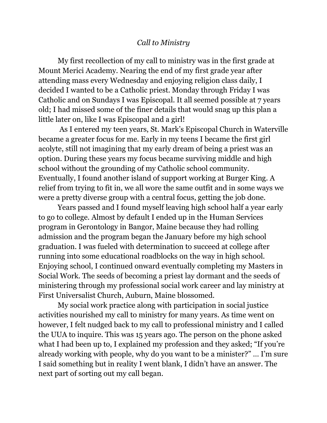## *Call to Ministry*

My first recollection of my call to ministry was in the first grade at Mount Merici Academy. Nearing the end of my first grade year after attending mass every Wednesday and enjoying religion class daily, I decided I wanted to be a Catholic priest. Monday through Friday I was Catholic and on Sundays I was Episcopal. It all seemed possible at 7 years old; I had missed some of the finer details that would snag up this plan a little later on, like I was Episcopal and a girl!

As I entered my teen years, St. Mark's Episcopal Church in Waterville became a greater focus for me. Early in my teens I became the first girl acolyte, still not imagining that my early dream of being a priest was an option. During these years my focus became surviving middle and high school without the grounding of my Catholic school community. Eventually, I found another island of support working at Burger King. A relief from trying to fit in, we all wore the same outfit and in some ways we were a pretty diverse group with a central focus, getting the job done.

Years passed and I found myself leaving high school half a year early to go to college. Almost by default I ended up in the Human Services program in Gerontology in Bangor, Maine because they had rolling admission and the program began the January before my high school graduation. I was fueled with determination to succeed at college after running into some educational roadblocks on the way in high school. Enjoying school, I continued onward eventually completing my Masters in Social Work. The seeds of becoming a priest lay dormant and the seeds of ministering through my professional social work career and lay ministry at First Universalist Church, Auburn, Maine blossomed.

My social work practice along with participation in social justice activities nourished my call to ministry for many years. As time went on however, I felt nudged back to my call to professional ministry and I called the UUA to inquire. This was 15 years ago. The person on the phone asked what I had been up to, I explained my profession and they asked; "If you're already working with people, why do you want to be a minister?" … I'm sure I said something but in reality I went blank, I didn't have an answer. The next part of sorting out my call began.